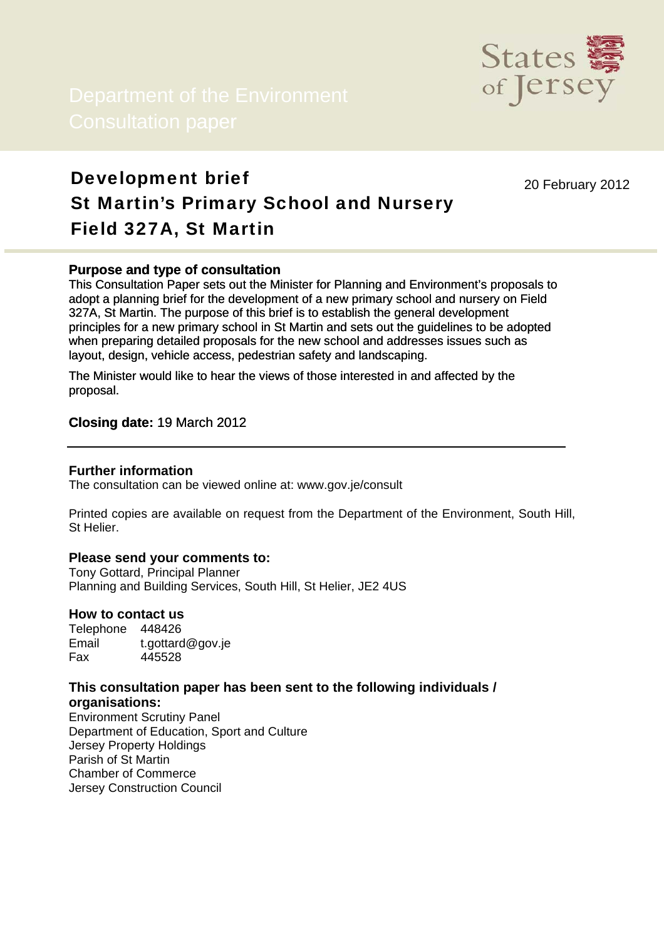

# Development brief St Martin's Primary School and Nursery Field 327A, St Martin

20 February 2012

# **Purpose and type of consultation**

This Consultation Paper sets out the Minister for Planning and Environment's proposals to adopt a planning brief for the development of a new primary school and nursery on Field 327A, St Martin. The purpose of this brief is to establish the general development principles for a new primary school in St Martin and sets out the guidelines to be adopted when preparing detailed proposals for the new school and addresses issues such as layout, design, vehicle access, pedestrian safety and landscaping.

The Minister would like to hear the views of those interested in and affected by the proposal.

# **Closing date:** 19 March 2012

#### **Further information**

The consultation can be viewed online at: www.gov.je/consult

Printed copies are available on request from the Department of the Environment, South Hill, St Helier.

#### **Please send your comments to:**

Tony Gottard, Principal Planner Planning and Building Services, South Hill, St Helier, JE2 4US

#### **How to contact us**

Telephone 448426 Email t.gottard@gov.je Fax 445528

# **This consultation paper has been sent to the following individuals / organisations:**

Environment Scrutiny Panel Department of Education, Sport and Culture Jersey Property Holdings Parish of St Martin Chamber of Commerce Jersey Construction Council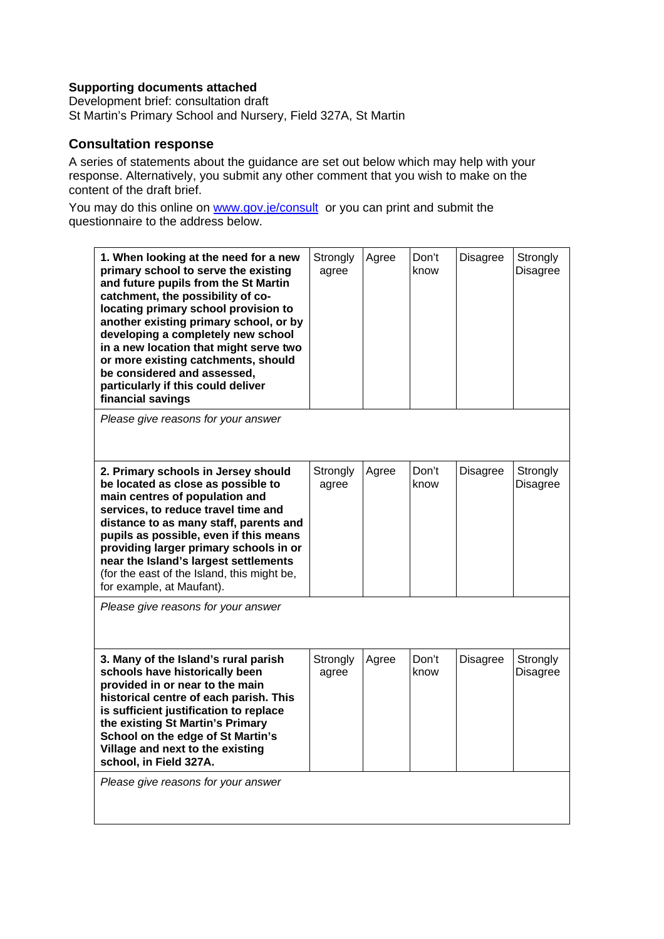# **Supporting documents attached**

Development brief: consultation draft St Martin's Primary School and Nursery, Field 327A, St Martin

# **Consultation response**

A series of statements about the guidance are set out below which may help with your response. Alternatively, you submit any other comment that you wish to make on the content of the draft brief.

You may do this online on [www.gov.je/consult](http://www.gov.je/consult) or you can print and submit the questionnaire to the address below.

| 1. When looking at the need for a new<br>primary school to serve the existing<br>and future pupils from the St Martin<br>catchment, the possibility of co-<br>locating primary school provision to<br>another existing primary school, or by<br>developing a completely new school<br>in a new location that might serve two<br>or more existing catchments, should<br>be considered and assessed,<br>particularly if this could deliver<br>financial savings | Strongly<br>agree | Agree | Don't<br>know | <b>Disagree</b> | Strongly<br><b>Disagree</b> |
|---------------------------------------------------------------------------------------------------------------------------------------------------------------------------------------------------------------------------------------------------------------------------------------------------------------------------------------------------------------------------------------------------------------------------------------------------------------|-------------------|-------|---------------|-----------------|-----------------------------|
| Please give reasons for your answer                                                                                                                                                                                                                                                                                                                                                                                                                           |                   |       |               |                 |                             |
| 2. Primary schools in Jersey should<br>be located as close as possible to<br>main centres of population and<br>services, to reduce travel time and<br>distance to as many staff, parents and<br>pupils as possible, even if this means<br>providing larger primary schools in or<br>near the Island's largest settlements<br>(for the east of the Island, this might be,<br>for example, at Maufant).                                                         | Strongly<br>agree | Agree | Don't<br>know | <b>Disagree</b> | Strongly<br><b>Disagree</b> |
| Please give reasons for your answer                                                                                                                                                                                                                                                                                                                                                                                                                           |                   |       |               |                 |                             |
| 3. Many of the Island's rural parish<br>schools have historically been<br>provided in or near to the main<br>historical centre of each parish. This<br>is sufficient justification to replace<br>the existing St Martin's Primary<br>School on the edge of St Martin's<br>Village and next to the existing<br>school, in Field 327A.                                                                                                                          | Strongly<br>agree | Agree | Don't<br>know | Disagree        | Strongly<br><b>Disagree</b> |
| Please give reasons for your answer                                                                                                                                                                                                                                                                                                                                                                                                                           |                   |       |               |                 |                             |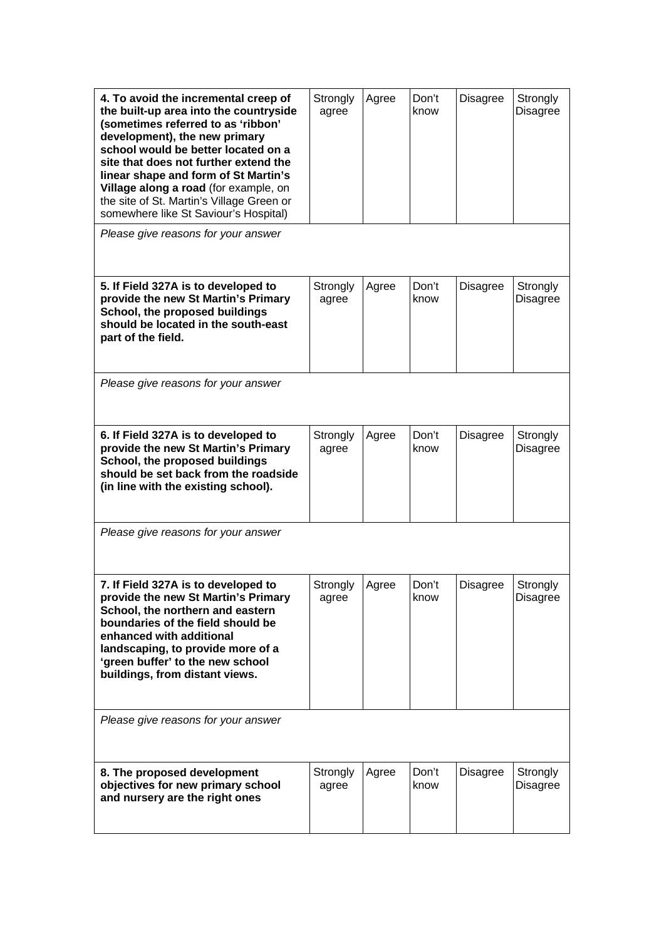| 4. To avoid the incremental creep of<br>the built-up area into the countryside<br>(sometimes referred to as 'ribbon'<br>development), the new primary<br>school would be better located on a<br>site that does not further extend the<br>linear shape and form of St Martin's<br>Village along a road (for example, on<br>the site of St. Martin's Village Green or<br>somewhere like St Saviour's Hospital) | Strongly<br>agree | Agree | Don't<br>know | <b>Disagree</b> | Strongly<br><b>Disagree</b> |
|--------------------------------------------------------------------------------------------------------------------------------------------------------------------------------------------------------------------------------------------------------------------------------------------------------------------------------------------------------------------------------------------------------------|-------------------|-------|---------------|-----------------|-----------------------------|
| Please give reasons for your answer                                                                                                                                                                                                                                                                                                                                                                          |                   |       |               |                 |                             |
| 5. If Field 327A is to developed to<br>provide the new St Martin's Primary<br>School, the proposed buildings<br>should be located in the south-east<br>part of the field.                                                                                                                                                                                                                                    | Strongly<br>agree | Agree | Don't<br>know | <b>Disagree</b> | Strongly<br><b>Disagree</b> |
| Please give reasons for your answer                                                                                                                                                                                                                                                                                                                                                                          |                   |       |               |                 |                             |
| 6. If Field 327A is to developed to<br>provide the new St Martin's Primary<br>School, the proposed buildings<br>should be set back from the roadside<br>(in line with the existing school).                                                                                                                                                                                                                  | Strongly<br>agree | Agree | Don't<br>know | <b>Disagree</b> | Strongly<br><b>Disagree</b> |
| Please give reasons for your answer                                                                                                                                                                                                                                                                                                                                                                          |                   |       |               |                 |                             |
| 7. If Field 327A is to developed to<br>provide the new St Martin's Primary<br>School, the northern and eastern<br>boundaries of the field should be<br>enhanced with additional<br>landscaping, to provide more of a<br>'green buffer' to the new school<br>buildings, from distant views.                                                                                                                   | Strongly<br>agree | Aaree | Don't<br>know | <b>Disagree</b> | Strongly<br><b>Disagree</b> |
| Please give reasons for your answer                                                                                                                                                                                                                                                                                                                                                                          |                   |       |               |                 |                             |
| 8. The proposed development<br>objectives for new primary school<br>and nursery are the right ones                                                                                                                                                                                                                                                                                                           | Strongly<br>agree | Agree | Don't<br>know | <b>Disagree</b> | Strongly<br>Disagree        |